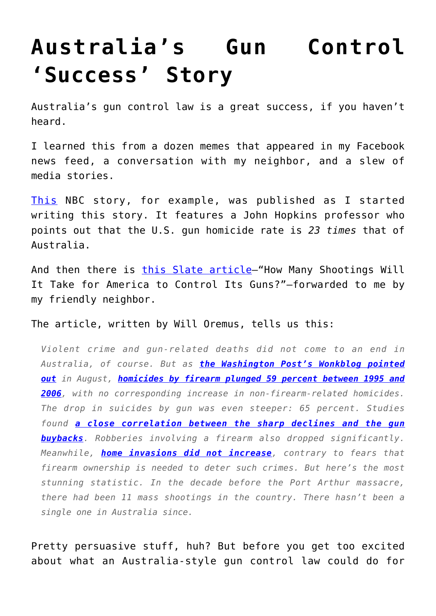## **[Australia's Gun Control](https://intellectualtakeout.org/2016/06/australias-gun-control-success-story/) ['Success' Story](https://intellectualtakeout.org/2016/06/australias-gun-control-success-story/)**

Australia's gun control law is a great success, if you haven't heard.

I learned this from a dozen memes that appeared in my Facebook news feed, a conversation with my neighbor, and a slew of media stories.

[This](http://www.nbcnews.com/health/health-news/no-mass-shootings-australia-20-years-how-did-they-do-n597091) NBC story, for example, was published as I started writing this story. It features a John Hopkins professor who points out that the U.S. gun homicide rate is *23 times* that of Australia.

And then there is [this Slate article](http://www.slate.com/blogs/crime/2012/12/16/gun_control_after_connecticut_shooting_could_australia_s_laws_provide_a.html)–"How Many Shootings Will It Take for America to Control Its Guns?"—forwarded to me by my friendly neighbor.

The article, written by Will Oremus, tells us this:

*Violent crime and gun-related deaths did not come to an end in Australia, of course. But as [the Washington Post's Wonkblog pointed](http://www.washingtonpost.com/blogs/wonkblog/wp/2012/08/02/did-gun-control-work-in-australia/) [out](http://www.washingtonpost.com/blogs/wonkblog/wp/2012/08/02/did-gun-control-work-in-australia/) in August, [homicides by firearm plunged 59 percent between 1995 and](http://aler.oxfordjournals.org/content/early/2010/08/20/aler.ahq013.full) [2006](http://aler.oxfordjournals.org/content/early/2010/08/20/aler.ahq013.full), with no corresponding increase in non-firearm-related homicides. The drop in suicides by gun was even steeper: 65 percent. Studies found [a close correlation between the sharp declines and the gun](http://jeffsachs.org/wp-content/uploads/2012/12/Australia-Gun-Law-Reforms.pdf) [buybacks](http://jeffsachs.org/wp-content/uploads/2012/12/Australia-Gun-Law-Reforms.pdf). Robberies involving a firearm also dropped significantly. Meanwhile, [home invasions did not increase](http://www.hsph.harvard.edu/research/hicrc/files/bulletins_australia_spring_2011.pdf), contrary to fears that firearm ownership is needed to deter such crimes. But here's the most stunning statistic. In the decade before the Port Arthur massacre, there had been 11 mass shootings in the country. There hasn't been a single one in Australia since.*

Pretty persuasive stuff, huh? But before you get too excited about what an Australia-style gun control law could do for